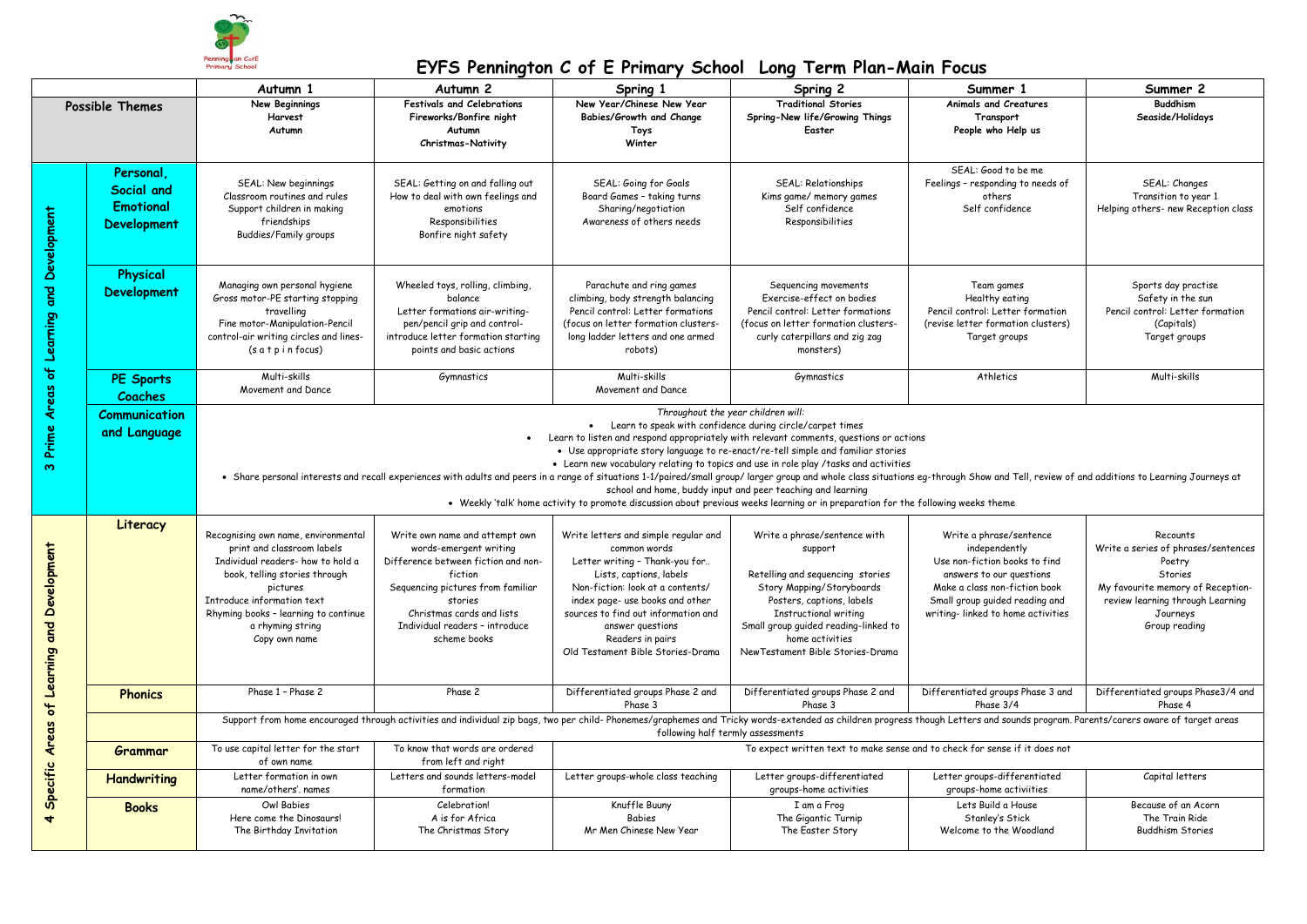

|                                            |                                                                   | Autumn 1                                                                                                                                                                                                                                                                                                                                                                                                                                                                                                                                                                                                                                                                                                                                                                                                      | Autumn <sub>2</sub>                                                                                                                                                                                                                       | Spring 1                                                                                                                                                                                                                                                                                                     | Spring 2                                                                                                                                                                                                                                                              | Summer 1                                                                                                                                                                                                      | Summer 2                                                                                                                                                                   |  |
|--------------------------------------------|-------------------------------------------------------------------|---------------------------------------------------------------------------------------------------------------------------------------------------------------------------------------------------------------------------------------------------------------------------------------------------------------------------------------------------------------------------------------------------------------------------------------------------------------------------------------------------------------------------------------------------------------------------------------------------------------------------------------------------------------------------------------------------------------------------------------------------------------------------------------------------------------|-------------------------------------------------------------------------------------------------------------------------------------------------------------------------------------------------------------------------------------------|--------------------------------------------------------------------------------------------------------------------------------------------------------------------------------------------------------------------------------------------------------------------------------------------------------------|-----------------------------------------------------------------------------------------------------------------------------------------------------------------------------------------------------------------------------------------------------------------------|---------------------------------------------------------------------------------------------------------------------------------------------------------------------------------------------------------------|----------------------------------------------------------------------------------------------------------------------------------------------------------------------------|--|
| <b>Possible Themes</b>                     |                                                                   | <b>New Beginnings</b><br>Harvest<br>Autumn                                                                                                                                                                                                                                                                                                                                                                                                                                                                                                                                                                                                                                                                                                                                                                    | <b>Festivals and Celebrations</b><br>Fireworks/Bonfire night<br>Autumn<br><b>Christmas-Nativity</b>                                                                                                                                       | New Year/Chinese New Year<br>Babies/Growth and Change<br>Toys<br>Winter                                                                                                                                                                                                                                      | <b>Traditional Stories</b><br>Spring-New life/Growing Things<br>Easter                                                                                                                                                                                                | Animals and Creatures<br>Transport<br>People who Help us                                                                                                                                                      | <b>Buddhism</b><br>Seaside/Holidays                                                                                                                                        |  |
| Prime Areas of Learning and Development    | Personal.<br>Social and<br><b>Emotional</b><br><b>Development</b> | SEAL: New beginnings<br>Classroom routines and rules<br>Support children in making<br>friendships<br><b>Buddies/Family groups</b>                                                                                                                                                                                                                                                                                                                                                                                                                                                                                                                                                                                                                                                                             | SEAL: Getting on and falling out<br>How to deal with own feelings and<br>emotions<br>Responsibilities<br>Bonfire night safety                                                                                                             | SEAL: Going for Goals<br>Board Games - taking turns<br>Sharing/negotiation<br>Awareness of others needs                                                                                                                                                                                                      | SEAL: Relationships<br>Kims game/ memory games<br>Self confidence<br>Responsibilities                                                                                                                                                                                 | SEAL: Good to be me<br>Feelings - responding to needs of<br>others<br>Self confidence                                                                                                                         | SEAL: Changes<br>Transition to year 1<br>Helping others- new Reception class                                                                                               |  |
|                                            | <b>Physical</b><br><b>Development</b>                             | Managing own personal hygiene<br>Gross motor-PE starting stopping<br>travelling<br>Fine motor-Manipulation-Pencil<br>control-air writing circles and lines-<br>$(s$ a $t$ p i n focus)                                                                                                                                                                                                                                                                                                                                                                                                                                                                                                                                                                                                                        | Wheeled toys, rolling, climbing,<br>balance<br>Letter formations air-writing-<br>pen/pencil grip and control-<br>introduce letter formation starting<br>points and basic actions                                                          | Parachute and ring games<br>climbing, body strength balancing<br>Pencil control: Letter formations<br>(focus on letter formation clusters-<br>long ladder letters and one armed<br>robots)                                                                                                                   | Sequencing movements<br>Exercise-effect on bodies<br>Pencil control: Letter formations<br>(focus on letter formation clusters-<br>curly caterpillars and zig zag<br>monsters)                                                                                         | Team games<br>Healthy eating<br>Pencil control: Letter formation<br>(revise letter formation clusters)<br>Target groups                                                                                       | Sports day practise<br>Safety in the sun<br>Pencil control: Letter formation<br>(Capitals)<br>Target groups                                                                |  |
|                                            | PE Sports<br>Coaches                                              | Multi-skills<br>Movement and Dance                                                                                                                                                                                                                                                                                                                                                                                                                                                                                                                                                                                                                                                                                                                                                                            | Gymnastics                                                                                                                                                                                                                                | Multi-skills<br>Movement and Dance                                                                                                                                                                                                                                                                           | Gymnastics                                                                                                                                                                                                                                                            | Athletics                                                                                                                                                                                                     | Multi-skills                                                                                                                                                               |  |
| $\boldsymbol{\infty}$                      | <b>Communication</b><br>and Language                              | Throughout the year children will:<br>• Learn to speak with confidence during circle/carpet times<br>Learn to listen and respond appropriately with relevant comments, questions or actions<br>• Use appropriate story language to re-enact/re-tell simple and familiar stories<br>• Learn new vocabulary relating to topics and use in role play /tasks and activities<br>. Share personal interests and recall experiences with adults and peers in a range of situations 1-1/paired/small group/ larger group and whole class situations eq-through Show and Tell, review of and additions to Learning<br>school and home, buddy input and peer teaching and learning<br>• Weekly 'talk' home activity to promote discussion about previous weeks learning or in preparation for the following weeks theme |                                                                                                                                                                                                                                           |                                                                                                                                                                                                                                                                                                              |                                                                                                                                                                                                                                                                       |                                                                                                                                                                                                               |                                                                                                                                                                            |  |
| Specific Areas of Learning and Development | Literacy                                                          | Recognising own name, environmental<br>print and classroom labels<br>Individual readers- how to hold a<br>book, telling stories through<br>pictures<br>Introduce information text<br>Rhyming books - learning to continue<br>a rhyming string<br>Copy own name                                                                                                                                                                                                                                                                                                                                                                                                                                                                                                                                                | Write own name and attempt own<br>words-emergent writing<br>Difference between fiction and non-<br>fiction<br>Sequencing pictures from familiar<br>stories<br>Christmas cards and lists<br>Individual readers - introduce<br>scheme books | Write letters and simple regular and<br>common words<br>Letter writing - Thank-you for<br>Lists, captions, labels<br>Non-fiction: look at a contents/<br>index page- use books and other<br>sources to find out information and<br>answer questions<br>Readers in pairs<br>Old Testament Bible Stories-Drama | Write a phrase/sentence with<br>support<br>Retelling and sequencing stories<br>Story Mapping/Storyboards<br>Posters, captions, labels<br><b>Instructional writing</b><br>Small group guided reading-linked to<br>home activities<br>New Testament Bible Stories-Drama | Write a phrase/sentence<br>independently<br>Use non-fiction books to find<br>answers to our questions<br>Make a class non-fiction book<br>Small group guided reading and<br>writing-linked to home activities | Recounts<br>Write a series of phrases/sentences<br>Poetry<br>Stories<br>My favourite memory of Reception-<br>review learning through Learning<br>Journeys<br>Group reading |  |
|                                            | <b>Phonics</b>                                                    | Phase 1 - Phase 2                                                                                                                                                                                                                                                                                                                                                                                                                                                                                                                                                                                                                                                                                                                                                                                             | Phase 2                                                                                                                                                                                                                                   | Differentiated groups Phase 2 and<br>Phase 3                                                                                                                                                                                                                                                                 | Differentiated groups Phase 2 and<br>Phase 3                                                                                                                                                                                                                          | Differentiated groups Phase 3 and<br>Phase 3/4                                                                                                                                                                | Differentiated groups Phase3/4 and<br>Phase 4                                                                                                                              |  |
|                                            |                                                                   | Support from home encouraged through activities and individual zip bags, two per child- Phonemes/graphemes and Tricky words-extended as children progress though Letters and sounds program. Parents/carers aware of target ar<br>following half termly assessments                                                                                                                                                                                                                                                                                                                                                                                                                                                                                                                                           |                                                                                                                                                                                                                                           |                                                                                                                                                                                                                                                                                                              |                                                                                                                                                                                                                                                                       |                                                                                                                                                                                                               |                                                                                                                                                                            |  |
|                                            | Grammar                                                           | To use capital letter for the start<br>of own name                                                                                                                                                                                                                                                                                                                                                                                                                                                                                                                                                                                                                                                                                                                                                            | To know that words are ordered<br>from left and right                                                                                                                                                                                     |                                                                                                                                                                                                                                                                                                              | To expect written text to make sense and to check for sense if it does not                                                                                                                                                                                            |                                                                                                                                                                                                               |                                                                                                                                                                            |  |
|                                            | Handwriting                                                       | Letter formation in own<br>name/others', names                                                                                                                                                                                                                                                                                                                                                                                                                                                                                                                                                                                                                                                                                                                                                                | Letters and sounds letters-model<br>formation                                                                                                                                                                                             | Letter groups-whole class teaching                                                                                                                                                                                                                                                                           | Letter groups-differentiated<br>groups-home activities                                                                                                                                                                                                                | Letter groups-differentiated<br>groups-home activiities                                                                                                                                                       | Capital letters                                                                                                                                                            |  |
| $\overline{\textbf{t}}$                    | <b>Books</b>                                                      | Owl Babies<br>Here come the Dinosaurs!<br>The Birthday Invitation                                                                                                                                                                                                                                                                                                                                                                                                                                                                                                                                                                                                                                                                                                                                             | Celebration!<br>A is for Africa<br>The Christmas Story                                                                                                                                                                                    | Knuffle Buuny<br><b>Babies</b><br>Mr Men Chinese New Year                                                                                                                                                                                                                                                    | I am a Frog<br>The Gigantic Turnip<br>The Easter Story                                                                                                                                                                                                                | Lets Build a House<br>Stanley's Stick<br>Welcome to the Woodland                                                                                                                                              | Because of an Acorn<br>The Train Ride<br><b>Buddhism Stories</b>                                                                                                           |  |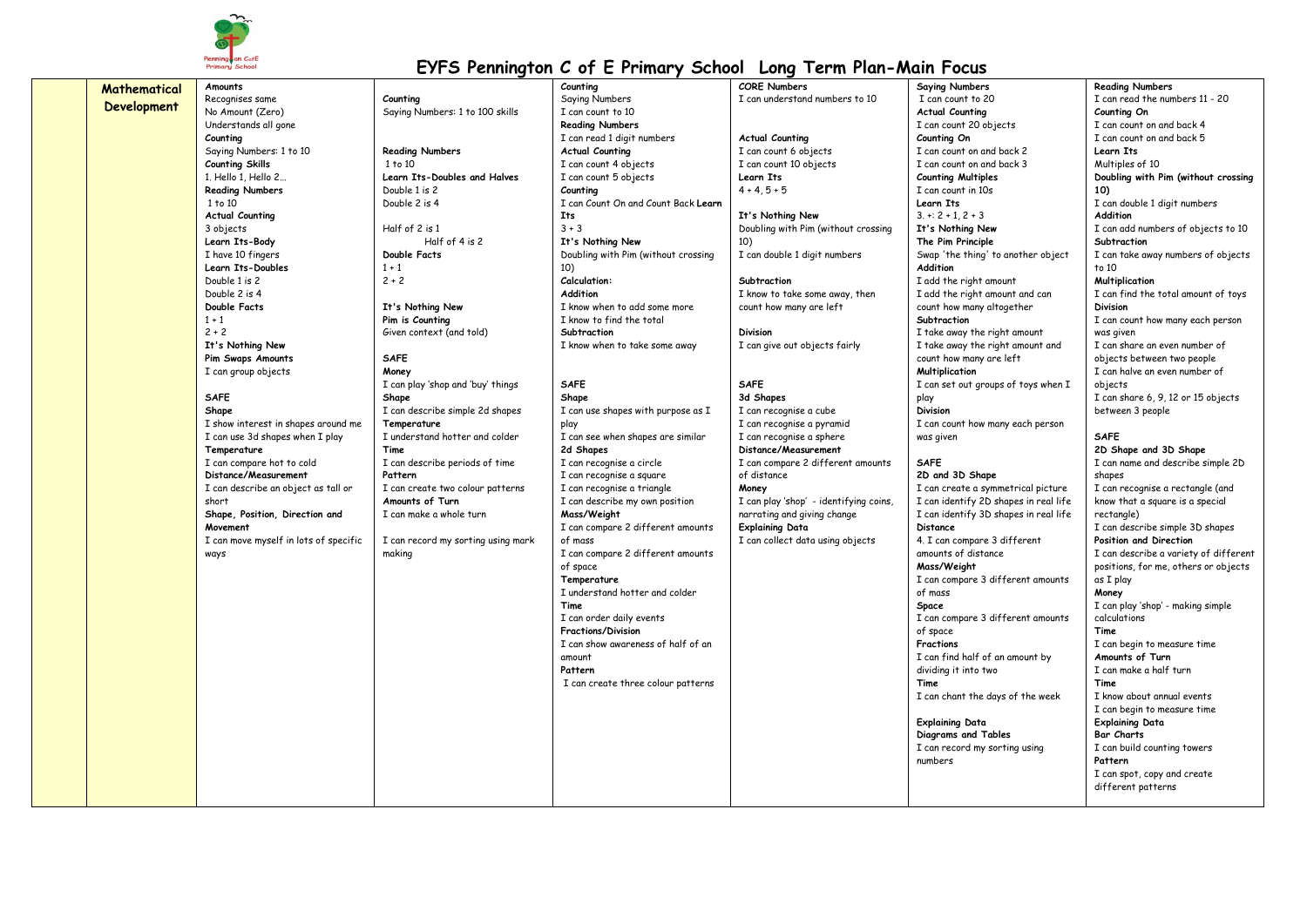

| Mathematical       | Amounts                               |                                    | Counting                            | <b>CORE Numbers</b>                    | <b>Saying Numbers</b>                 | <b>Reading Numbers</b>                |
|--------------------|---------------------------------------|------------------------------------|-------------------------------------|----------------------------------------|---------------------------------------|---------------------------------------|
|                    | Recognises same                       | Counting                           | Saying Numbers                      | I can understand numbers to 10         | I can count to 20                     | I can read the numbers 11 - 20        |
| <b>Development</b> | No Amount (Zero)                      | Saying Numbers: 1 to 100 skills    | I can count to 10                   |                                        | <b>Actual Counting</b>                | Counting On                           |
|                    | Understands all gone                  |                                    | <b>Reading Numbers</b>              |                                        | I can count 20 objects                | I can count on and back 4             |
|                    | Counting                              |                                    | I can read 1 digit numbers          | <b>Actual Counting</b>                 | Counting On                           | I can count on and back 5             |
|                    | Saying Numbers: 1 to 10               | <b>Reading Numbers</b>             | <b>Actual Counting</b>              | I can count 6 objects                  | I can count on and back 2             | Learn Its                             |
|                    | <b>Counting Skills</b>                | 1 to 10                            | I can count 4 objects               | I can count 10 objects                 | I can count on and back 3             | Multiples of 10                       |
|                    | 1. Hello 1, Hello 2                   | Learn Its-Doubles and Halves       | I can count 5 objects               | Learn Its                              | <b>Counting Multiples</b>             | Doubling with Pim (without crossing   |
|                    | <b>Reading Numbers</b>                | Double 1 is 2                      | Counting                            | $4 + 4.5 + 5$                          | I can count in 10s                    | 10)                                   |
|                    | 1 to 10                               | Double 2 is 4                      | I can Count On and Count Back Learn |                                        | Learn Its                             | I can double 1 digit numbers          |
|                    | <b>Actual Counting</b>                |                                    | <b>Its</b>                          | It's Nothing New                       | $3 + 2 + 1, 2 + 3$                    | Addition                              |
|                    | 3 objects                             | Half of 2 is 1                     | $3 + 3$                             | Doubling with Pim (without crossing    | It's Nothing New                      | I can add numbers of objects to 10    |
|                    | Learn Its-Body                        | Half of 4 is 2                     | It's Nothing New                    | 10)                                    | The Pim Principle                     | Subtraction                           |
|                    | I have 10 fingers                     | Double Facts                       | Doubling with Pim (without crossing | I can double 1 digit numbers           | Swap 'the thing' to another object    | I can take away numbers of objects    |
|                    | Learn Its-Doubles                     | $1 + 1$                            | 10)                                 |                                        | Addition                              | to 10                                 |
|                    | Double 1 is 2                         | $2 + 2$                            | Calculation:                        | Subtraction                            | I add the right amount                | Multiplication                        |
|                    | Double 2 is 4                         |                                    | Addition                            | I know to take some away, then         | I add the right amount and can        | I can find the total amount of toys   |
|                    | Double Facts                          | It's Nothing New                   | I know when to add some more        | count how many are left                | count how many altogether             | <b>Division</b>                       |
|                    | $1 + 1$                               | Pim is Counting                    | I know to find the total            |                                        | Subtraction                           | I can count how many each person      |
|                    | $2 + 2$                               | Given context (and told)           | Subtraction                         | <b>Division</b>                        | I take away the right amount          | was given                             |
|                    | It's Nothing New                      |                                    | I know when to take some away       | I can give out objects fairly          | I take away the right amount and      | I can share an even number of         |
|                    | Pim Swaps Amounts                     | <b>SAFE</b>                        |                                     |                                        | count how many are left               | objects between two people            |
|                    | I can group objects                   | Money                              |                                     |                                        | Multiplication                        | I can halve an even number of         |
|                    |                                       | I can play 'shop and 'buy' things  | <b>SAFE</b>                         | <b>SAFE</b>                            | I can set out groups of toys when I   | objects                               |
|                    | <b>SAFE</b>                           | Shape                              | Shape                               | 3d Shapes                              | play                                  | I can share 6, 9, 12 or 15 objects    |
|                    | Shape                                 | I can describe simple 2d shapes    | I can use shapes with purpose as I  | I can recognise a cube                 | <b>Division</b>                       | between 3 people                      |
|                    | I show interest in shapes around me   | Temperature                        | play                                | I can recognise a pyramid              | I can count how many each person      |                                       |
|                    | I can use 3d shapes when I play       | I understand hotter and colder     | I can see when shapes are similar   | I can recognise a sphere               | was given                             | <b>SAFE</b>                           |
|                    | Temperature                           | Time                               | 2d Shapes                           | Distance/Measurement                   |                                       | 2D Shape and 3D Shape                 |
|                    | I can compare hot to cold             | I can describe periods of time     | I can recognise a circle            | I can compare 2 different amounts      | <b>SAFE</b>                           | I can name and describe simple 2D     |
|                    | Distance/Measurement                  | Pattern                            | I can recognise a square            | of distance                            | 2D and 3D Shape                       | shapes                                |
|                    | I can describe an object as tall or   | I can create two colour patterns   | I can recognise a triangle          | Money                                  | I can create a symmetrical picture    | I can recognise a rectangle (and      |
|                    | short                                 | Amounts of Turn                    | I can describe my own position      | I can play 'shop' - identifying coins, | I can identify 2D shapes in real life | know that a square is a special       |
|                    | Shape, Position, Direction and        | I can make a whole turn            | Mass/Weight                         | narrating and giving change            | I can identify 3D shapes in real life | rectangle)                            |
|                    | Movement                              |                                    | I can compare 2 different amounts   | <b>Explaining Data</b>                 | Distance                              | I can describe simple 3D shapes       |
|                    | I can move myself in lots of specific | I can record my sorting using mark | of mass                             | I can collect data using objects       | 4. I can compare 3 different          | Position and Direction                |
|                    | ways                                  | making                             | I can compare 2 different amounts   |                                        | amounts of distance                   | I can describe a variety of different |
|                    |                                       |                                    | of space                            |                                        | Mass/Weight                           | positions, for me, others or objects  |
|                    |                                       |                                    | Temperature                         |                                        | I can compare 3 different amounts     | as I play                             |
|                    |                                       |                                    | I understand hotter and colder      |                                        | of mass                               | Money                                 |
|                    |                                       |                                    | Time                                |                                        | Space                                 | I can play 'shop' - making simple     |
|                    |                                       |                                    | I can order daily events            |                                        | I can compare 3 different amounts     | calculations                          |
|                    |                                       |                                    | <b>Fractions/Division</b>           |                                        | of space                              | Time                                  |
|                    |                                       |                                    | I can show awareness of half of an  |                                        | Fractions                             | I can begin to measure time           |
|                    |                                       |                                    | amount                              |                                        | I can find half of an amount by       | Amounts of Turn                       |
|                    |                                       |                                    | Pattern                             |                                        | dividing it into two                  | I can make a half turn                |
|                    |                                       |                                    | I can create three colour patterns  |                                        | Time                                  | Time                                  |
|                    |                                       |                                    |                                     |                                        | I can chant the days of the week      | I know about annual events            |
|                    |                                       |                                    |                                     |                                        |                                       | I can begin to measure time           |
|                    |                                       |                                    |                                     |                                        | <b>Explaining Data</b>                | <b>Explaining Data</b>                |
|                    |                                       |                                    |                                     |                                        | Diagrams and Tables                   | <b>Bar Charts</b>                     |
|                    |                                       |                                    |                                     |                                        | I can record my sorting using         | I can build counting towers           |
|                    |                                       |                                    |                                     |                                        | numbers                               | Pattern                               |
|                    |                                       |                                    |                                     |                                        |                                       | I can spot, copy and create           |
|                    |                                       |                                    |                                     |                                        |                                       | different patterns                    |
|                    |                                       |                                    |                                     |                                        |                                       |                                       |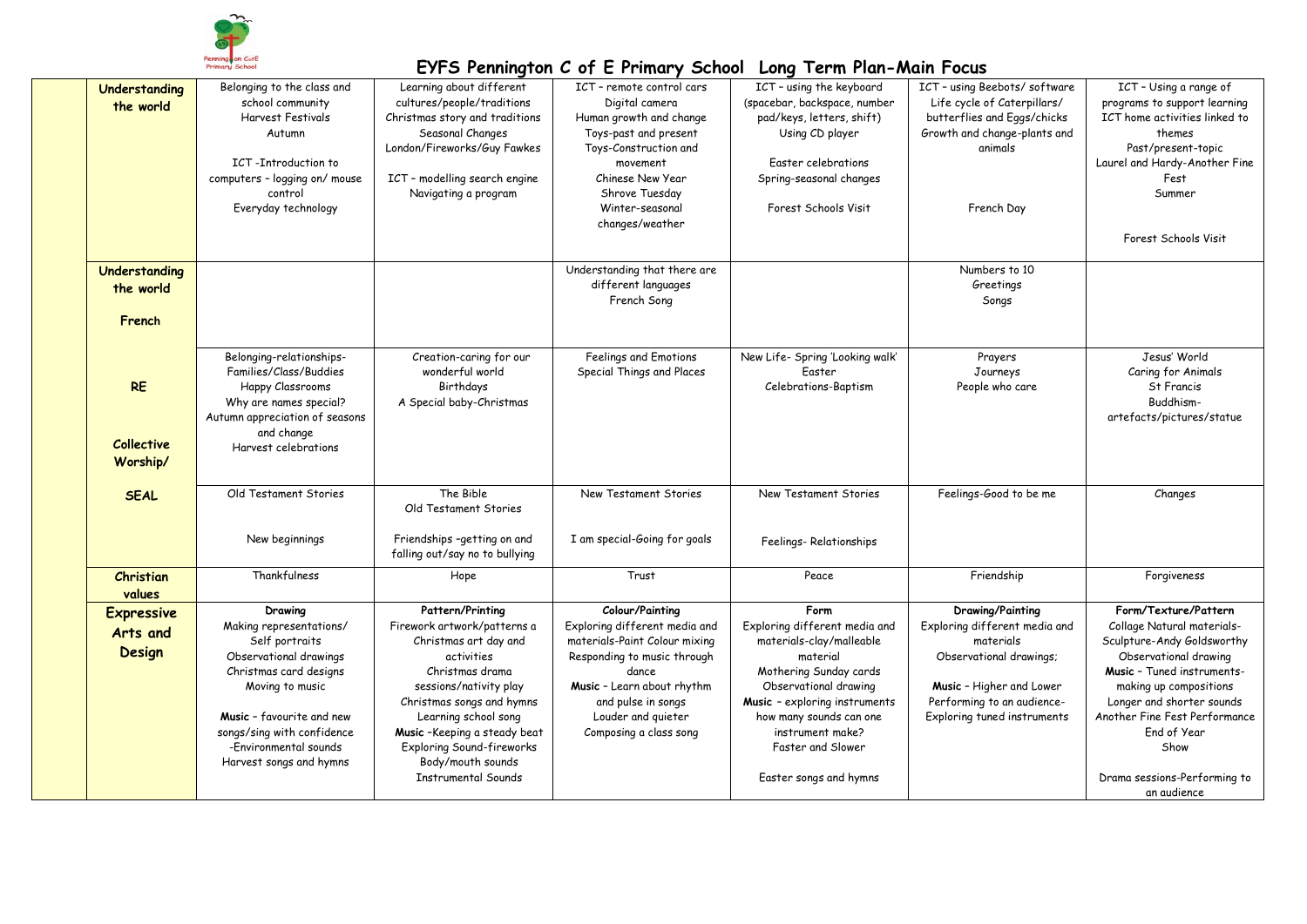

| Understanding<br>the world                 | Belonging to the class and<br>school community<br><b>Harvest Festivals</b><br>Autumn<br>ICT-Introduction to<br>computers - logging on/ mouse<br>control<br>Everyday technology                                                                    | Learning about different<br>cultures/people/traditions<br>Christmas story and traditions<br>Seasonal Changes<br>London/Fireworks/Guy Fawkes<br>ICT - modelling search engine<br>Navigating a program                                                                                                    | ICT - remote control cars<br>Digital camera<br>Human growth and change<br>Toys-past and present<br>Toys-Construction and<br>movement<br>Chinese New Year<br>Shrove Tuesday<br>Winter-seasonal<br>changes/weather              | ICT - using the keyboard<br>(spacebar, backspace, number<br>pad/keys, letters, shift)<br>Using CD player<br>Easter celebrations<br>Spring-seasonal changes<br>Forest Schools Visit                                                                              | ICT - using Beebots/software<br>Life cycle of Caterpillars/<br>butterflies and Eggs/chicks<br>Growth and change-plants and<br>animals<br>French Day                                | ICT - Using a range of<br>programs to support learning<br>ICT home activities linked to<br>themes<br>Past/present-topic<br>Laurel and Hardy-Another Fine<br>Fest<br>Summer<br>Forest Schools Visit                                                                                                    |
|--------------------------------------------|---------------------------------------------------------------------------------------------------------------------------------------------------------------------------------------------------------------------------------------------------|---------------------------------------------------------------------------------------------------------------------------------------------------------------------------------------------------------------------------------------------------------------------------------------------------------|-------------------------------------------------------------------------------------------------------------------------------------------------------------------------------------------------------------------------------|-----------------------------------------------------------------------------------------------------------------------------------------------------------------------------------------------------------------------------------------------------------------|------------------------------------------------------------------------------------------------------------------------------------------------------------------------------------|-------------------------------------------------------------------------------------------------------------------------------------------------------------------------------------------------------------------------------------------------------------------------------------------------------|
| Understanding<br>the world                 |                                                                                                                                                                                                                                                   |                                                                                                                                                                                                                                                                                                         | Understanding that there are<br>different languages<br>French Song                                                                                                                                                            |                                                                                                                                                                                                                                                                 | Numbers to 10<br>Greetings<br>Songs                                                                                                                                                |                                                                                                                                                                                                                                                                                                       |
| French                                     |                                                                                                                                                                                                                                                   |                                                                                                                                                                                                                                                                                                         |                                                                                                                                                                                                                               |                                                                                                                                                                                                                                                                 |                                                                                                                                                                                    |                                                                                                                                                                                                                                                                                                       |
| <b>RE</b><br><b>Collective</b><br>Worship/ | Belonging-relationships-<br>Families/Class/Buddies<br>Happy Classrooms<br>Why are names special?<br>Autumn appreciation of seasons<br>and change<br>Harvest celebrations                                                                          | Creation-caring for our<br>wonderful world<br>Birthdays<br>A Special baby-Christmas                                                                                                                                                                                                                     | Feelings and Emotions<br>Special Things and Places                                                                                                                                                                            | New Life- Spring 'Looking walk'<br>Easter<br>Celebrations-Baptism                                                                                                                                                                                               | Prayers<br>Journeys<br>People who care                                                                                                                                             | Jesus' World<br>Caring for Animals<br>St Francis<br>Buddhism-<br>artefacts/pictures/statue                                                                                                                                                                                                            |
| <b>SEAL</b>                                | Old Testament Stories                                                                                                                                                                                                                             | The Bible<br>Old Testament Stories                                                                                                                                                                                                                                                                      | New Testament Stories                                                                                                                                                                                                         | New Testament Stories                                                                                                                                                                                                                                           | Feelings-Good to be me                                                                                                                                                             | Changes                                                                                                                                                                                                                                                                                               |
|                                            | New beginnings                                                                                                                                                                                                                                    | Friendships -getting on and<br>falling out/say no to bullying                                                                                                                                                                                                                                           | I am special-Going for goals                                                                                                                                                                                                  | Feelings-Relationships                                                                                                                                                                                                                                          |                                                                                                                                                                                    |                                                                                                                                                                                                                                                                                                       |
| Christian<br>values                        | Thankfulness                                                                                                                                                                                                                                      | Hope                                                                                                                                                                                                                                                                                                    | Trust                                                                                                                                                                                                                         | Peace                                                                                                                                                                                                                                                           | Friendship                                                                                                                                                                         | Forgiveness                                                                                                                                                                                                                                                                                           |
| <b>Expressive</b><br>Arts and<br>Design    | Drawing<br>Making representations/<br>Self portraits<br>Observational drawings<br>Christmas card designs<br>Moving to music<br><b>Music</b> - favourite and new<br>songs/sing with confidence<br>-Environmental sounds<br>Harvest songs and hymns | Pattern/Printing<br>Firework artwork/patterns a<br>Christmas art day and<br>activities<br>Christmas drama<br>sessions/nativity play<br>Christmas songs and hymns<br>Learning school song<br>Music-Keeping a steady beat<br>Exploring Sound-fireworks<br>Body/mouth sounds<br><b>Instrumental Sounds</b> | Colour/Painting<br>Exploring different media and<br>materials-Paint Colour mixing<br>Responding to music through<br>dance<br>Music - Learn about rhythm<br>and pulse in songs<br>Louder and quieter<br>Composing a class song | Form<br>Exploring different media and<br>materials-clay/malleable<br>material<br>Mothering Sunday cards<br>Observational drawing<br>Music - exploring instruments<br>how many sounds can one<br>instrument make?<br>Faster and Slower<br>Easter songs and hymns | Drawing/Painting<br>Exploring different media and<br>materials<br>Observational drawings;<br>Music - Higher and Lower<br>Performing to an audience-<br>Exploring tuned instruments | Form/Texture/Pattern<br>Collage Natural materials-<br>Sculpture-Andy Goldsworthy<br>Observational drawing<br>Music - Tuned instruments-<br>making up compositions<br>Longer and shorter sounds<br>Another Fine Fest Performance<br>End of Year<br>Show<br>Drama sessions-Performing to<br>an audience |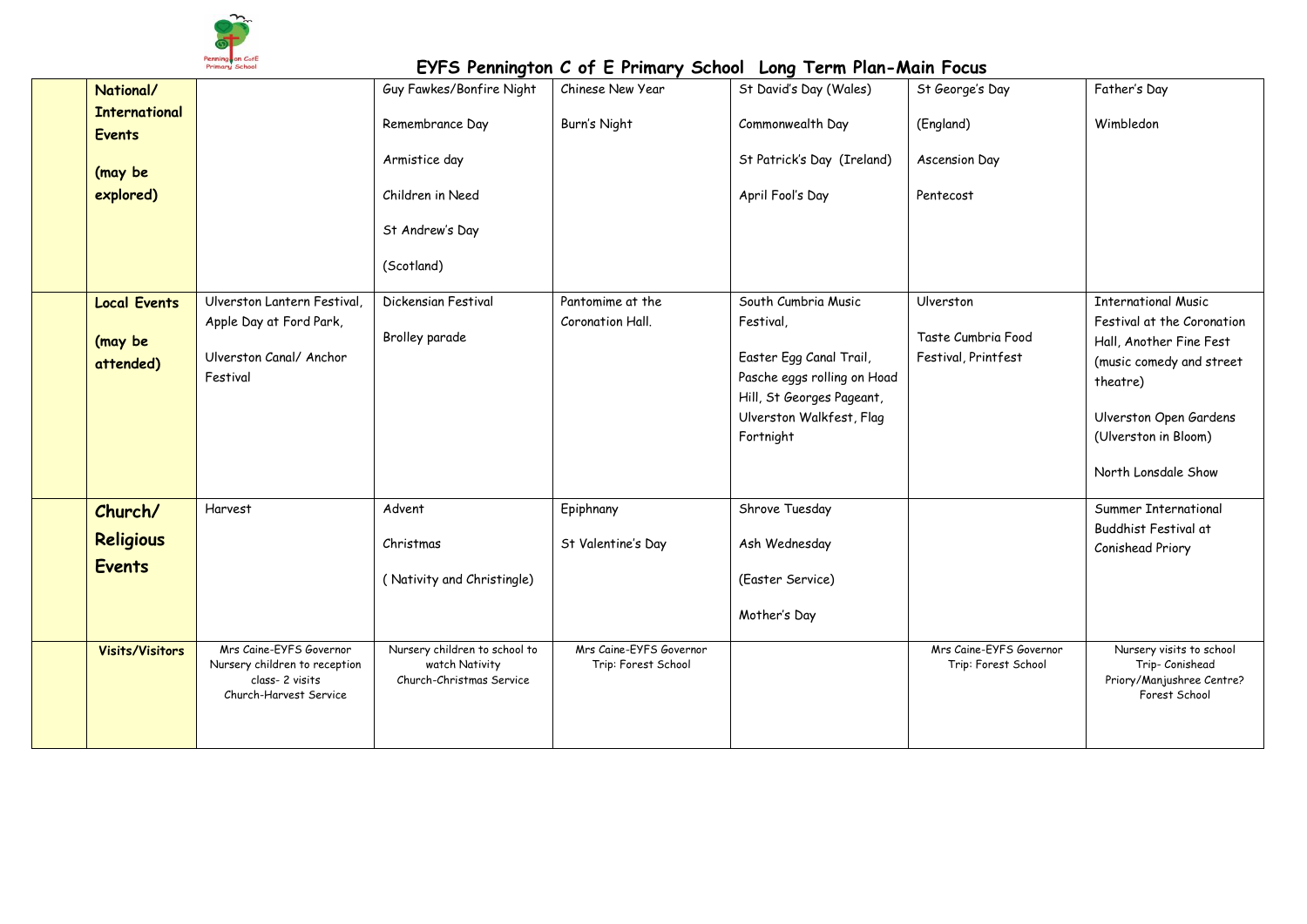

| National/              |                                                          | Guy Fawkes/Bonfire Night                        | Chinese New Year                               | St David's Day (Wales)      | St George's Day                                | Father's Day                                          |
|------------------------|----------------------------------------------------------|-------------------------------------------------|------------------------------------------------|-----------------------------|------------------------------------------------|-------------------------------------------------------|
| <b>International</b>   |                                                          | Remembrance Day                                 | Burn's Night                                   | Commonwealth Day            | (England)                                      | Wimbledon                                             |
| <b>Events</b>          |                                                          |                                                 |                                                |                             |                                                |                                                       |
| (may be                |                                                          | Armistice day                                   |                                                | St Patrick's Day (Ireland)  | Ascension Day                                  |                                                       |
| explored)              |                                                          | Children in Need                                |                                                | April Fool's Day            | Pentecost                                      |                                                       |
|                        |                                                          |                                                 |                                                |                             |                                                |                                                       |
|                        |                                                          | St Andrew's Day                                 |                                                |                             |                                                |                                                       |
|                        |                                                          | (Scotland)                                      |                                                |                             |                                                |                                                       |
|                        |                                                          |                                                 |                                                |                             |                                                |                                                       |
| <b>Local Events</b>    | Ulverston Lantern Festival,                              | Dickensian Festival                             | Pantomime at the                               | South Cumbria Music         | Ulverston                                      | <b>International Music</b>                            |
| (may be                | Apple Day at Ford Park,                                  | Brolley parade                                  | Coronation Hall.                               | Festival,                   | Taste Cumbria Food                             | Festival at the Coronation<br>Hall, Another Fine Fest |
| attended)              | Ulverston Canal/ Anchor                                  |                                                 |                                                | Easter Egg Canal Trail,     | Festival, Printfest                            | (music comedy and street                              |
|                        | Festival                                                 |                                                 |                                                | Pasche eggs rolling on Hoad |                                                | theatre)                                              |
|                        |                                                          |                                                 |                                                | Hill, St Georges Pageant,   |                                                |                                                       |
|                        |                                                          |                                                 |                                                | Ulverston Walkfest, Flag    |                                                | Ulverston Open Gardens                                |
|                        |                                                          |                                                 |                                                | Fortnight                   |                                                | (Ulverston in Bloom)                                  |
|                        |                                                          |                                                 |                                                |                             |                                                | North Lonsdale Show                                   |
|                        |                                                          |                                                 |                                                |                             |                                                |                                                       |
| Church/                | Harvest                                                  | Advent                                          | Epiphnany                                      | Shrove Tuesday              |                                                | Summer International<br>Buddhist Festival at          |
| <b>Religious</b>       |                                                          | Christmas                                       | St Valentine's Day                             | Ash Wednesday               |                                                | Conishead Priory                                      |
| <b>Events</b>          |                                                          |                                                 |                                                |                             |                                                |                                                       |
|                        |                                                          | (Nativity and Christingle)                      |                                                | (Easter Service)            |                                                |                                                       |
|                        |                                                          |                                                 |                                                | Mother's Day                |                                                |                                                       |
|                        |                                                          |                                                 |                                                |                             |                                                |                                                       |
| <b>Visits/Visitors</b> | Mrs Caine-EYFS Governor<br>Nursery children to reception | Nursery children to school to<br>watch Nativity | Mrs Caine-EYFS Governor<br>Trip: Forest School |                             | Mrs Caine-EYFS Governor<br>Trip: Forest School | Nursery visits to school<br>Trip- Conishead           |
|                        | class-2 visits                                           | Church-Christmas Service                        |                                                |                             |                                                | Priory/Manjushree Centre?                             |
|                        | Church-Harvest Service                                   |                                                 |                                                |                             |                                                | Forest School                                         |
|                        |                                                          |                                                 |                                                |                             |                                                |                                                       |
|                        |                                                          |                                                 |                                                |                             |                                                |                                                       |